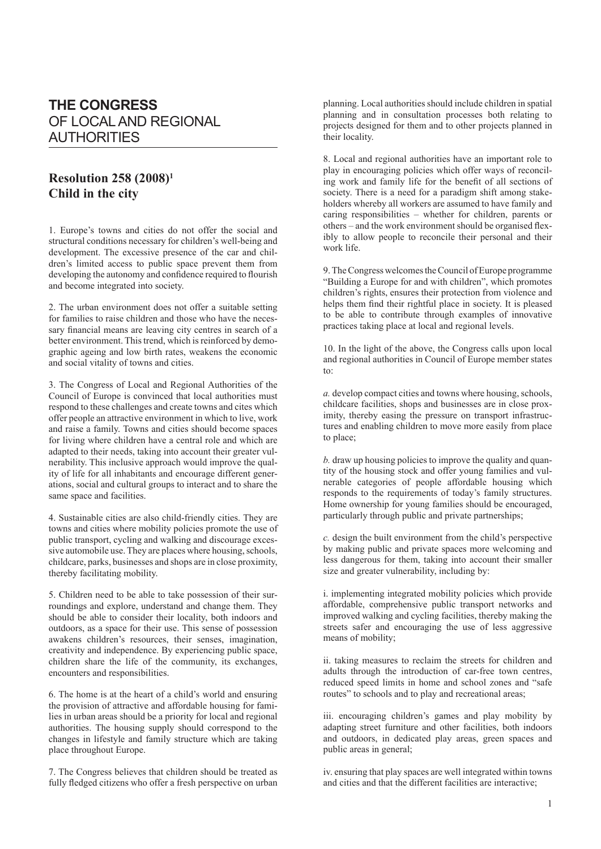## **THE CONGRESS** OF LOCAL AND REGIONAL AUTHORITIES

## **Resolution 258 (2008)1 Child in the city**

1. Europe's towns and cities do not offer the social and structural conditions necessary for children's well-being and development. The excessive presence of the car and children's limited access to public space prevent them from developing the autonomy and confidence required to flourish and become integrated into society.

2. The urban environment does not offer a suitable setting for families to raise children and those who have the necessary financial means are leaving city centres in search of a better environment. This trend, which is reinforced by demographic ageing and low birth rates, weakens the economic and social vitality of towns and cities.

3. The Congress of Local and Regional Authorities of the Council of Europe is convinced that local authorities must respond to these challenges and create towns and cites which offer people an attractive environment in which to live, work and raise a family. Towns and cities should become spaces for living where children have a central role and which are adapted to their needs, taking into account their greater vulnerability. This inclusive approach would improve the quality of life for all inhabitants and encourage different generations, social and cultural groups to interact and to share the same space and facilities.

4. Sustainable cities are also child-friendly cities. They are towns and cities where mobility policies promote the use of public transport, cycling and walking and discourage excessive automobile use. They are places where housing, schools, childcare, parks, businesses and shops are in close proximity, thereby facilitating mobility.

5. Children need to be able to take possession of their surroundings and explore, understand and change them. They should be able to consider their locality, both indoors and outdoors, as a space for their use. This sense of possession awakens children's resources, their senses, imagination, creativity and independence. By experiencing public space, children share the life of the community, its exchanges, encounters and responsibilities.

6. The home is at the heart of a child's world and ensuring the provision of attractive and affordable housing for families in urban areas should be a priority for local and regional authorities. The housing supply should correspond to the changes in lifestyle and family structure which are taking place throughout Europe.

7. The Congress believes that children should be treated as fully fledged citizens who offer a fresh perspective on urban planning. Local authorities should include children in spatial planning and in consultation processes both relating to projects designed for them and to other projects planned in their locality.

8. Local and regional authorities have an important role to play in encouraging policies which offer ways of reconciling work and family life for the benefit of all sections of society. There is a need for a paradigm shift among stakeholders whereby all workers are assumed to have family and caring responsibilities – whether for children, parents or others – and the work environment should be organised flexibly to allow people to reconcile their personal and their work life.

9. The Congress welcomes the Council of Europe programme "Building a Europe for and with children", which promotes children's rights, ensures their protection from violence and helps them find their rightful place in society. It is pleased to be able to contribute through examples of innovative practices taking place at local and regional levels.

10. In the light of the above, the Congress calls upon local and regional authorities in Council of Europe member states to:

*a.* develop compact cities and towns where housing, schools, childcare facilities, shops and businesses are in close proximity, thereby easing the pressure on transport infrastructures and enabling children to move more easily from place to place;

*b.* draw up housing policies to improve the quality and quantity of the housing stock and offer young families and vulnerable categories of people affordable housing which responds to the requirements of today's family structures. Home ownership for young families should be encouraged, particularly through public and private partnerships;

*c.* design the built environment from the child's perspective by making public and private spaces more welcoming and less dangerous for them, taking into account their smaller size and greater vulnerability, including by:

i. implementing integrated mobility policies which provide affordable, comprehensive public transport networks and improved walking and cycling facilities, thereby making the streets safer and encouraging the use of less aggressive means of mobility;

ii. taking measures to reclaim the streets for children and adults through the introduction of car-free town centres, reduced speed limits in home and school zones and "safe routes" to schools and to play and recreational areas;

iii. encouraging children's games and play mobility by adapting street furniture and other facilities, both indoors and outdoors, in dedicated play areas, green spaces and public areas in general;

iv. ensuring that play spaces are well integrated within towns and cities and that the different facilities are interactive;